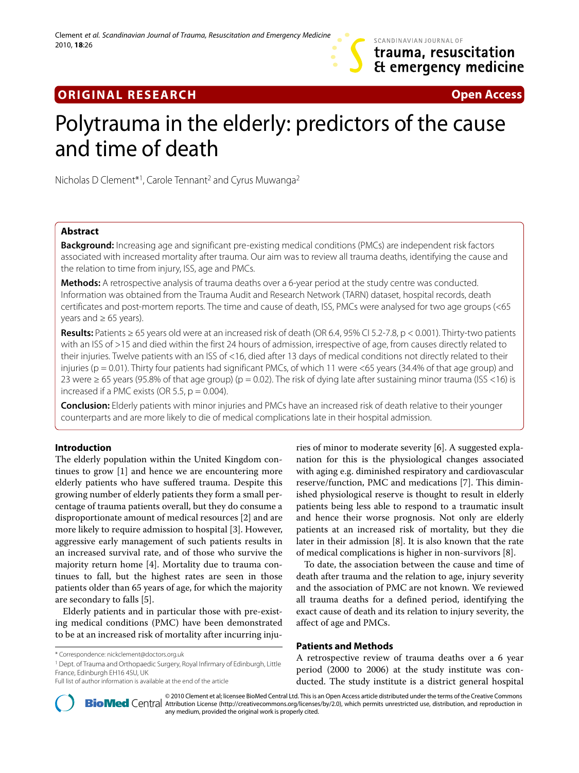# SCANDINAVIAN JOURNAL OF trauma, resuscitation Et emergency medicine

# **ORIGINAL RESEARCH Open Access**

# Polytrauma in the elderly: predictors of the cause and time of death

Nicholas D Clement\*1, Carole Tennant2 and Cyrus Muwanga2

# **Abstract**

**Background:** Increasing age and significant pre-existing medical conditions (PMCs) are independent risk factors associated with increased mortality after trauma. Our aim was to review all trauma deaths, identifying the cause and the relation to time from injury, ISS, age and PMCs.

**Methods:** A retrospective analysis of trauma deaths over a 6-year period at the study centre was conducted. Information was obtained from the Trauma Audit and Research Network (TARN) dataset, hospital records, death certificates and post-mortem reports. The time and cause of death, ISS, PMCs were analysed for two age groups (<65 years and  $\geq 65$  years).

**Results:** Patients ≥ 65 years old were at an increased risk of death (OR 6.4, 95% CI 5.2-7.8, p < 0.001). Thirty-two patients with an ISS of >15 and died within the first 24 hours of admission, irrespective of age, from causes directly related to their injuries. Twelve patients with an ISS of <16, died after 13 days of medical conditions not directly related to their injuries ( $p = 0.01$ ). Thirty four patients had significant PMCs, of which 11 were <65 years (34.4% of that age group) and 23 were ≥ 65 years (95.8% of that age group) (p = 0.02). The risk of dying late after sustaining minor trauma (ISS <16) is increased if a PMC exists (OR 5.5,  $p = 0.004$ ).

**Conclusion:** Elderly patients with minor injuries and PMCs have an increased risk of death relative to their younger counterparts and are more likely to die of medical complications late in their hospital admission.

# **Introduction**

The elderly population within the United Kingdom continues to grow [[1](#page-5-0)] and hence we are encountering more elderly patients who have suffered trauma. Despite this growing number of elderly patients they form a small percentage of trauma patients overall, but they do consume a disproportionate amount of medical resources [\[2](#page-5-1)] and are more likely to require admission to hospital [\[3](#page-5-2)]. However, aggressive early management of such patients results in an increased survival rate, and of those who survive the majority return home [\[4](#page-5-3)]. Mortality due to trauma continues to fall, but the highest rates are seen in those patients older than 65 years of age, for which the majority are secondary to falls [\[5](#page-6-0)].

Elderly patients and in particular those with pre-existing medical conditions (PMC) have been demonstrated to be at an increased risk of mortality after incurring inju-

1 Dept. of Trauma and Orthopaedic Surgery, Royal Infirmary of Edinburgh, Little France, Edinburgh EH16 4SU, UK

Full list of author information is available at the end of the article

ries of minor to moderate severity [\[6](#page-6-1)]. A suggested explanation for this is the physiological changes associated with aging e.g. diminished respiratory and cardiovascular reserve/function, PMC and medications [\[7](#page-6-2)]. This diminished physiological reserve is thought to result in elderly patients being less able to respond to a traumatic insult and hence their worse prognosis. Not only are elderly patients at an increased risk of mortality, but they die later in their admission [[8](#page-6-3)]. It is also known that the rate of medical complications is higher in non-survivors [\[8](#page-6-3)].

To date, the association between the cause and time of death after trauma and the relation to age, injury severity and the association of PMC are not known. We reviewed all trauma deaths for a defined period, identifying the exact cause of death and its relation to injury severity, the affect of age and PMCs.

## **Patients and Methods**

A retrospective review of trauma deaths over a 6 year period (2000 to 2006) at the study institute was conducted. The study institute is a district general hospital



2010 Clement et al; licensee [BioMed](http://www.biomedcentral.com/) Central Ltd. This is an Open Access article distributed under the terms of the Creative Commons (http://creativecommons.org/licenses/by/2.0), which permits unrestricted use, distribution any medium, provided the original work is properly cited.

<sup>\*</sup> Correspondence: nickclement@doctors.org.uk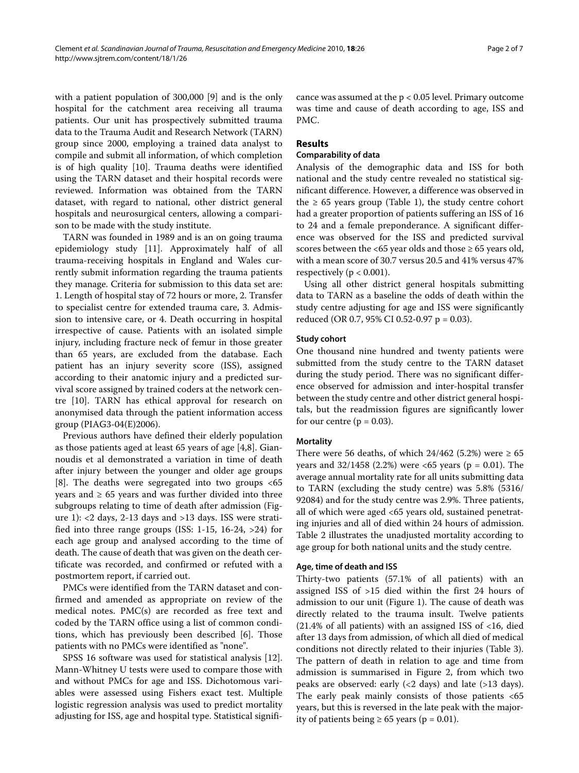with a patient population of 300,000 [\[9](#page-6-4)] and is the only hospital for the catchment area receiving all trauma patients. Our unit has prospectively submitted trauma data to the Trauma Audit and Research Network (TARN) group since 2000, employing a trained data analyst to compile and submit all information, of which completion is of high quality [\[10](#page-6-5)]. Trauma deaths were identified using the TARN dataset and their hospital records were reviewed. Information was obtained from the TARN dataset, with regard to national, other district general hospitals and neurosurgical centers, allowing a comparison to be made with the study institute.

TARN was founded in 1989 and is an on going trauma epidemiology study [[11\]](#page-6-6). Approximately half of all trauma-receiving hospitals in England and Wales currently submit information regarding the trauma patients they manage. Criteria for submission to this data set are: 1. Length of hospital stay of 72 hours or more, 2. Transfer to specialist centre for extended trauma care, 3. Admission to intensive care, or 4. Death occurring in hospital irrespective of cause. Patients with an isolated simple injury, including fracture neck of femur in those greater than 65 years, are excluded from the database. Each patient has an injury severity score (ISS), assigned according to their anatomic injury and a predicted survival score assigned by trained coders at the network centre [[10\]](#page-6-5). TARN has ethical approval for research on anonymised data through the patient information access group (PIAG3-04(E)2006).

Previous authors have defined their elderly population as those patients aged at least 65 years of age [[4,](#page-5-3)[8](#page-6-3)]. Giannoudis et al demonstrated a variation in time of death after injury between the younger and older age groups [[8\]](#page-6-3). The deaths were segregated into two groups <65 years and  $\geq 65$  years and was further divided into three subgroups relating to time of death after admission (Figure [1](#page-2-0)): <2 days, 2-13 days and >13 days. ISS were stratified into three range groups (ISS: 1-15, 16-24, >24) for each age group and analysed according to the time of death. The cause of death that was given on the death certificate was recorded, and confirmed or refuted with a postmortem report, if carried out.

PMCs were identified from the TARN dataset and confirmed and amended as appropriate on review of the medical notes. PMC(s) are recorded as free text and coded by the TARN office using a list of common conditions, which has previously been described [\[6](#page-6-1)]. Those patients with no PMCs were identified as "none".

SPSS 16 software was used for statistical analysis [\[12](#page-6-7)]. Mann-Whitney U tests were used to compare those with and without PMCs for age and ISS. Dichotomous variables were assessed using Fishers exact test. Multiple logistic regression analysis was used to predict mortality adjusting for ISS, age and hospital type. Statistical signifi-

cance was assumed at the p < 0.05 level. Primary outcome was time and cause of death according to age, ISS and PMC.

# **Results**

# **Comparability of data**

Analysis of the demographic data and ISS for both national and the study centre revealed no statistical significant difference. However, a difference was observed in the  $\geq 65$  years group (Table 1), the study centre cohort had a greater proportion of patients suffering an ISS of 16 to 24 and a female preponderance. A significant difference was observed for the ISS and predicted survival scores between the <65 year olds and those  $\geq$  65 years old, with a mean score of 30.7 versus 20.5 and 41% versus 47% respectively ( $p < 0.001$ ).

Using all other district general hospitals submitting data to TARN as a baseline the odds of death within the study centre adjusting for age and ISS were significantly reduced (OR 0.7, 95% CI 0.52-0.97 p = 0.03).

## **Study cohort**

One thousand nine hundred and twenty patients were submitted from the study centre to the TARN dataset during the study period. There was no significant difference observed for admission and inter-hospital transfer between the study centre and other district general hospitals, but the readmission figures are significantly lower for our centre  $(p = 0.03)$ .

## **Mortality**

There were 56 deaths, of which  $24/462$  (5.2%) were  $\geq 65$ years and  $32/1458$  (2.2%) were <65 years (p = 0.01). The average annual mortality rate for all units submitting data to TARN (excluding the study centre) was 5.8% (5316/ 92084) and for the study centre was 2.9%. Three patients, all of which were aged <65 years old, sustained penetrating injuries and all of died within 24 hours of admission. Table 2 illustrates the unadjusted mortality according to age group for both national units and the study centre.

#### **Age, time of death and ISS**

Thirty-two patients (57.1% of all patients) with an assigned ISS of >15 died within the first 24 hours of admission to our unit (Figure [1\)](#page-2-0). The cause of death was directly related to the trauma insult. Twelve patients  $(21.4\% \text{ of all patients})$  with an assigned ISS of <16, died after 13 days from admission, of which all died of medical conditions not directly related to their injuries (Table 3). The pattern of death in relation to age and time from admission is summarised in Figure [2](#page-3-0), from which two peaks are observed: early  $(< 2 \text{ days})$  and late  $(> 13 \text{ days})$ . The early peak mainly consists of those patients <65 years, but this is reversed in the late peak with the majority of patients being ≥ 65 years ( $p = 0.01$ ).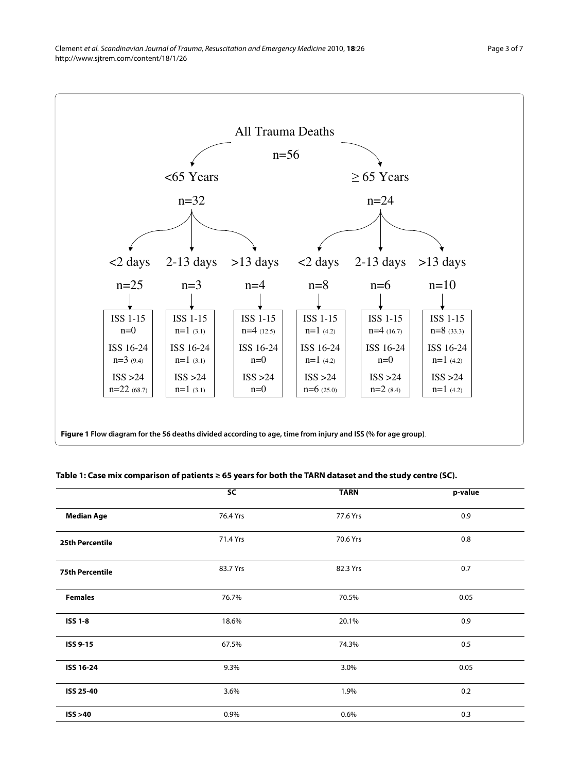<span id="page-2-0"></span>

# **Table 1: Case mix comparison of patients ≥ 65 years for both the TARN dataset and the study centre (SC).**

|                        | SC       | <b>TARN</b> | p-value |
|------------------------|----------|-------------|---------|
| <b>Median Age</b>      | 76.4 Yrs | 77.6 Yrs    | 0.9     |
| <b>25th Percentile</b> | 71.4 Yrs | 70.6 Yrs    | 0.8     |
| <b>75th Percentile</b> | 83.7 Yrs | 82.3 Yrs    | 0.7     |
| <b>Females</b>         | 76.7%    | 70.5%       | 0.05    |
| <b>ISS 1-8</b>         | 18.6%    | 20.1%       | 0.9     |
| ISS 9-15               | 67.5%    | 74.3%       | 0.5     |
| ISS 16-24              | 9.3%     | 3.0%        | 0.05    |
| ISS 25-40              | 3.6%     | 1.9%        | 0.2     |
| ISS > 40               | 0.9%     | 0.6%        | 0.3     |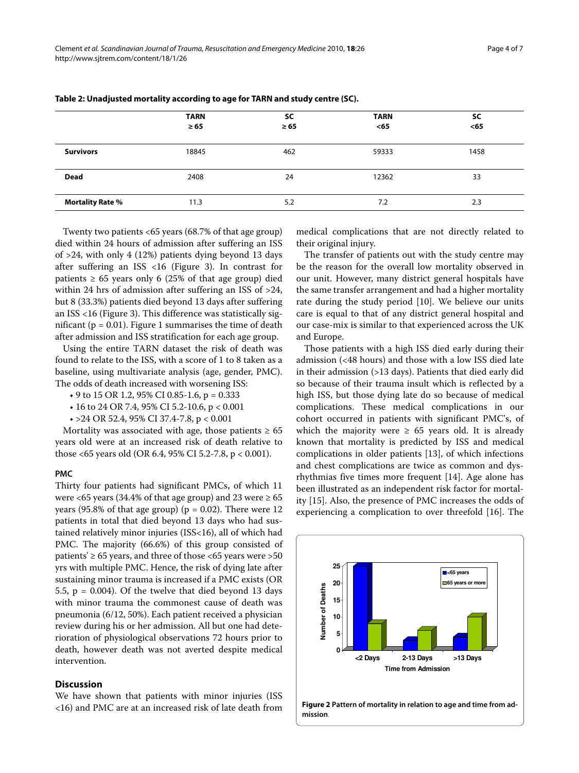|                         | <b>TARN</b><br>$\geq 65$ | SC<br>$\geq 65$ | <b>TARN</b><br>$<$ 65 | SC<br>$65$ |
|-------------------------|--------------------------|-----------------|-----------------------|------------|
| <b>Survivors</b>        | 18845                    | 462             | 59333                 | 1458       |
| <b>Dead</b>             | 2408                     | 24              | 12362                 | 33         |
| <b>Mortality Rate %</b> | 11.3                     | 5.2             | 7.2                   | 2.3        |

**Table 2: Unadjusted mortality according to age for TARN and study centre (SC).**

Twenty two patients <65 years (68.7% of that age group) died within 24 hours of admission after suffering an ISS of >24, with only 4 (12%) patients dying beyond 13 days after suffering an ISS <16 (Figure [3](#page-5-4)). In contrast for patients  $\geq 65$  years only 6 (25% of that age group) died within 24 hrs of admission after suffering an ISS of >24, but 8 (33.3%) patients died beyond 13 days after suffering an ISS <16 (Figure [3\)](#page-5-4). This difference was statistically significant ( $p = 0.01$ ). Figure [1](#page-2-0) summarises the time of death after admission and ISS stratification for each age group.

Using the entire TARN dataset the risk of death was found to relate to the ISS, with a score of 1 to 8 taken as a baseline, using multivariate analysis (age, gender, PMC). The odds of death increased with worsening ISS:

- 9 to 15 OR 1.2, 95% CI 0.85-1.6,  $p = 0.333$
- 16 to 24 OR 7.4, 95% CI 5.2-10.6, p < 0.001
- >24 OR 52.4, 95% CI 37.4-7.8, p < 0.001

Mortality was associated with age, those patients  $\geq 65$ years old were at an increased risk of death relative to those <65 years old (OR 6.4, 95% CI 5.2-7.8, p < 0.001).

#### **PMC**

Thirty four patients had significant PMCs, of which 11 were <65 years (34.4% of that age group) and 23 were  $\geq 65$ years (95.8% of that age group) ( $p = 0.02$ ). There were 12 patients in total that died beyond 13 days who had sustained relatively minor injuries (ISS<16), all of which had PMC. The majority (66.6%) of this group consisted of patients'  $\geq 65$  years, and three of those <65 years were >50 yrs with multiple PMC. Hence, the risk of dying late after sustaining minor trauma is increased if a PMC exists (OR 5.5, p = 0.004). Of the twelve that died beyond 13 days with minor trauma the commonest cause of death was pneumonia (6/12, 50%). Each patient received a physician review during his or her admission. All but one had deterioration of physiological observations 72 hours prior to death, however death was not averted despite medical intervention.

# **Discussion**

We have shown that patients with minor injuries (ISS <16) and PMC are at an increased risk of late death from medical complications that are not directly related to their original injury.

The transfer of patients out with the study centre may be the reason for the overall low mortality observed in our unit. However, many district general hospitals have the same transfer arrangement and had a higher mortality rate during the study period [\[10](#page-6-5)]. We believe our units care is equal to that of any district general hospital and our case-mix is similar to that experienced across the UK and Europe.

Those patients with a high ISS died early during their admission (<48 hours) and those with a low ISS died late in their admission (>13 days). Patients that died early did so because of their trauma insult which is reflected by a high ISS, but those dying late do so because of medical complications. These medical complications in our cohort occurred in patients with significant PMC's, of which the majority were  $\geq 65$  years old. It is already known that mortality is predicted by ISS and medical complications in older patients [\[13](#page-6-8)], of which infections and chest complications are twice as common and dysrhythmias five times more frequent [[14\]](#page-6-9). Age alone has been illustrated as an independent risk factor for mortality [\[15\]](#page-6-10). Also, the presence of PMC increases the odds of experiencing a complication to over threefold [\[16](#page-6-11)]. The

<span id="page-3-0"></span>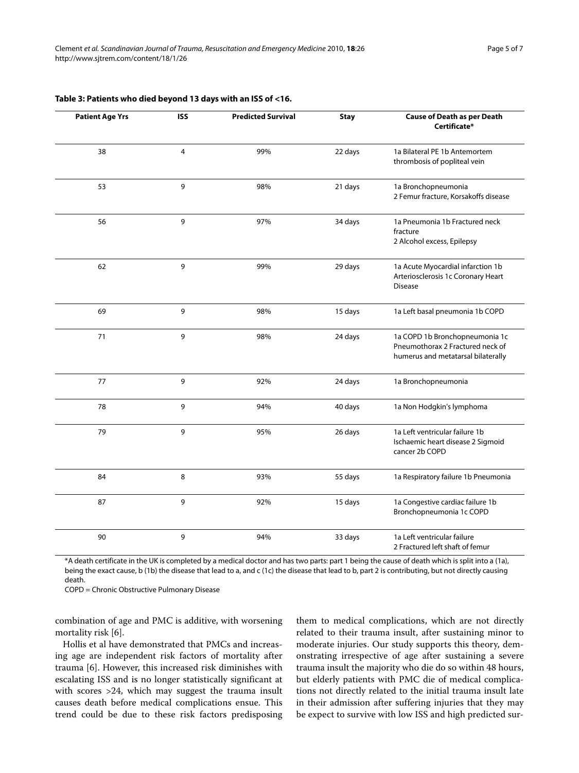| <b>Patient Age Yrs</b> | <b>ISS</b> | <b>Predicted Survival</b> | <b>Stay</b> | <b>Cause of Death as per Death</b><br>Certificate*                                                       |
|------------------------|------------|---------------------------|-------------|----------------------------------------------------------------------------------------------------------|
| 38                     | 4          | 99%                       | 22 days     | 1a Bilateral PE 1b Antemortem<br>thrombosis of popliteal vein                                            |
| 53                     | 9          | 98%                       | 21 days     | 1a Bronchopneumonia<br>2 Femur fracture, Korsakoffs disease                                              |
| 56                     | 9          | 97%                       | 34 days     | 1a Pneumonia 1b Fractured neck<br>fracture<br>2 Alcohol excess, Epilepsy                                 |
| 62                     | 9          | 99%                       | 29 days     | 1a Acute Myocardial infarction 1b<br>Arteriosclerosis 1c Coronary Heart<br><b>Disease</b>                |
| 69                     | 9          | 98%                       | 15 days     | 1a Left basal pneumonia 1b COPD                                                                          |
| 71                     | 9          | 98%                       | 24 days     | 1a COPD 1b Bronchopneumonia 1c<br>Pneumothorax 2 Fractured neck of<br>humerus and metatarsal bilaterally |
| 77                     | 9          | 92%                       | 24 days     | 1a Bronchopneumonia                                                                                      |
| 78                     | 9          | 94%                       | 40 days     | 1a Non Hodgkin's lymphoma                                                                                |
| 79                     | 9          | 95%                       | 26 days     | 1a Left ventricular failure 1b<br>Ischaemic heart disease 2 Sigmoid<br>cancer 2b COPD                    |
| 84                     | 8          | 93%                       | 55 days     | 1a Respiratory failure 1b Pneumonia                                                                      |
| 87                     | 9          | 92%                       | 15 days     | 1a Congestive cardiac failure 1b<br>Bronchopneumonia 1c COPD                                             |
| 90                     | 9          | 94%                       | 33 days     | 1a Left ventricular failure<br>2 Fractured left shaft of femur                                           |

# **Table 3: Patients who died beyond 13 days with an ISS of <16.**

\*A death certificate in the UK is completed by a medical doctor and has two parts: part 1 being the cause of death which is split into a (1a), being the exact cause, b (1b) the disease that lead to a, and c (1c) the disease that lead to b, part 2 is contributing, but not directly causing death.

COPD = Chronic Obstructive Pulmonary Disease

combination of age and PMC is additive, with worsening mortality risk [[6](#page-6-1)].

Hollis et al have demonstrated that PMCs and increasing age are independent risk factors of mortality after trauma [\[6](#page-6-1)]. However, this increased risk diminishes with escalating ISS and is no longer statistically significant at with scores >24, which may suggest the trauma insult causes death before medical complications ensue. This trend could be due to these risk factors predisposing

them to medical complications, which are not directly related to their trauma insult, after sustaining minor to moderate injuries. Our study supports this theory, demonstrating irrespective of age after sustaining a severe trauma insult the majority who die do so within 48 hours, but elderly patients with PMC die of medical complications not directly related to the initial trauma insult late in their admission after suffering injuries that they may be expect to survive with low ISS and high predicted sur-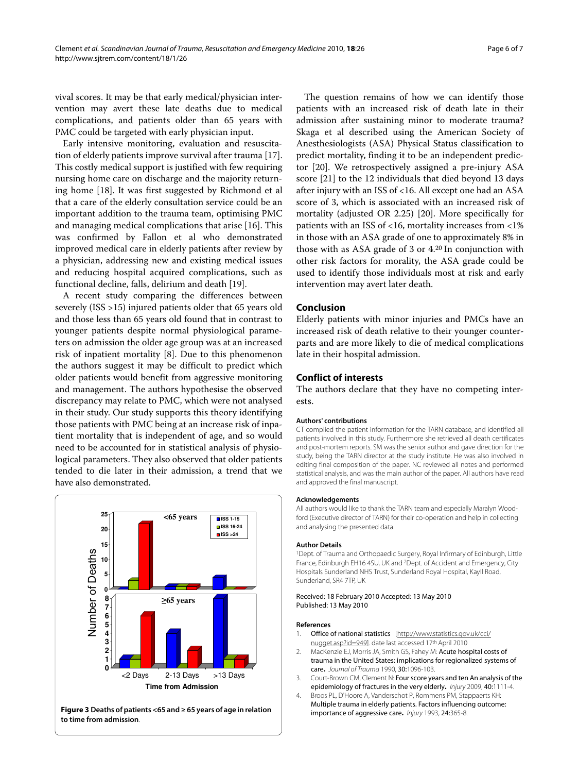Page 6 of 7

vival scores. It may be that early medical/physician intervention may avert these late deaths due to medical complications, and patients older than 65 years with PMC could be targeted with early physician input.

Early intensive monitoring, evaluation and resuscitation of elderly patients improve survival after trauma [\[17](#page-6-12)]. This costly medical support is justified with few requiring nursing home care on discharge and the majority returning home [[18\]](#page-6-13). It was first suggested by Richmond et al that a care of the elderly consultation service could be an important addition to the trauma team, optimising PMC and managing medical complications that arise [[16](#page-6-11)]. This was confirmed by Fallon et al who demonstrated improved medical care in elderly patients after review by a physician, addressing new and existing medical issues and reducing hospital acquired complications, such as functional decline, falls, delirium and death [[19\]](#page-6-14).

A recent study comparing the differences between severely (ISS >15) injured patients older that 65 years old and those less than 65 years old found that in contrast to younger patients despite normal physiological parameters on admission the older age group was at an increased risk of inpatient mortality [\[8](#page-6-3)]. Due to this phenomenon the authors suggest it may be difficult to predict which older patients would benefit from aggressive monitoring and management. The authors hypothesise the observed discrepancy may relate to PMC, which were not analysed in their study. Our study supports this theory identifying those patients with PMC being at an increase risk of inpatient mortality that is independent of age, and so would need to be accounted for in statistical analysis of physiological parameters. They also observed that older patients tended to die later in their admission, a trend that we have also demonstrated.

<span id="page-5-4"></span>

**Figure 3 Deaths of patients <65 and ≥ 65 years of age in relation to time from admission**.

The question remains of how we can identify those patients with an increased risk of death late in their admission after sustaining minor to moderate trauma? Skaga et al described using the American Society of Anesthesiologists (ASA) Physical Status classification to predict mortality, finding it to be an independent predictor [\[20](#page-6-15)]. We retrospectively assigned a pre-injury ASA score [\[21](#page-6-16)] to the 12 individuals that died beyond 13 days after injury with an ISS of <16. All except one had an ASA score of 3, which is associated with an increased risk of mortality (adjusted OR 2.25) [[20](#page-6-15)]. More specifically for patients with an ISS of <16, mortality increases from <1% in those with an ASA grade of one to approximately 8% in those with as ASA grade of 3 or 4.20 In conjunction with other risk factors for morality, the ASA grade could be used to identify those individuals most at risk and early intervention may avert later death.

# **Conclusion**

Elderly patients with minor injuries and PMCs have an increased risk of death relative to their younger counterparts and are more likely to die of medical complications late in their hospital admission.

# **Conflict of interests**

The authors declare that they have no competing interests.

## **Authors' contributions**

CT complied the patient information for the TARN database, and identified all patients involved in this study. Furthermore she retrieved all death certificates and post-mortem reports. SM was the senior author and gave direction for the study, being the TARN director at the study institute. He was also involved in editing final composition of the paper. NC reviewed all notes and performed statistical analysis, and was the main author of the paper. All authors have read and approved the final manuscript.

#### **Acknowledgements**

All authors would like to thank the TARN team and especially Maralyn Woodford (Executive director of TARN) for their co-operation and help in collecting and analysing the presented data.

#### **Author Details**

1Dept. of Trauma and Orthopaedic Surgery, Royal Infirmary of Edinburgh, Little France, Edinburgh EH16 4SU, UK and 2Dept. of Accident and Emergency, City Hospitals Sunderland NHS Trust, Sunderland Royal Hospital, Kayll Road, Sunderland, SR4 7TP, UK

#### Received: 18 February 2010 Accepted: 13 May 2010 Published: 13 May 2010

#### **References**

- <span id="page-5-0"></span>1. Office of national statistics [[http://www.statistics.gov.uk/cci/](http://www.statistics.gov.uk/cci/nugget.asp?id=949) [nugget.asp?id=949](http://www.statistics.gov.uk/cci/nugget.asp?id=949)]. date last accessed 17th April 2010
- <span id="page-5-1"></span>2. MacKenzie EJ, Morris JA, Smith GS, Fahey M: Acute hospital costs of trauma in the United States: implications for regionalized systems of care**.** Journal of Trauma 1990, 30:1096-103.
- <span id="page-5-2"></span>3. Court-Brown CM, Clement N: Four score years and ten An analysis of the epidemiology of fractures in the very elderly**[.](http://www.ncbi.nlm.nih.gov/entrez/query.fcgi?cmd=Retrieve&db=PubMed&dopt=Abstract&list_uids=19596316)** Injury 2009, 40:1111-4.
- <span id="page-5-3"></span>4. Broos PL, D'Hoore A, Vanderschot P, Rommens PM, Stappaerts KH: Multiple trauma in elderly patients. Factors influencing outcome: importance of aggressive care**.** Injury 1993, 24:365-8.